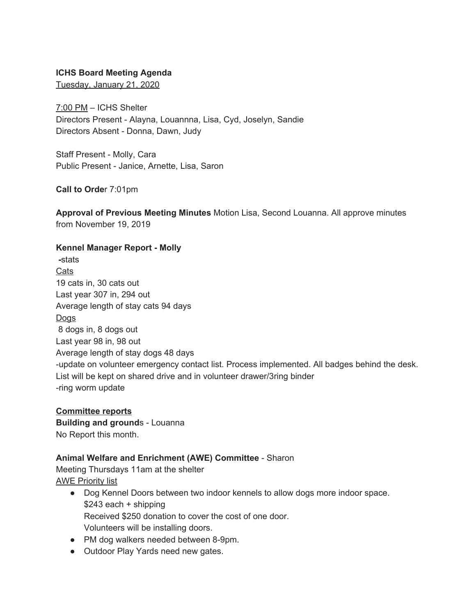## **ICHS Board Meeting Agenda**

Tuesday, January 21, 2020

7:00 PM – ICHS Shelter Directors Present - Alayna, Louannna, Lisa, Cyd, Joselyn, Sandie Directors Absent - Donna, Dawn, Judy

Staff Present - Molly, Cara Public Present - Janice, Arnette, Lisa, Saron

**Call to Orde**r 7:01pm

**Approval of Previous Meeting Minutes** Motion Lisa, Second Louanna. All approve minutes from November 19, 2019

#### **Kennel Manager Report - Molly**

**-**stats Cats 19 cats in, 30 cats out Last year 307 in, 294 out Average length of stay cats 94 days Dogs 8 dogs in, 8 dogs out Last year 98 in, 98 out Average length of stay dogs 48 days -update on volunteer emergency contact list. Process implemented. All badges behind the desk. List will be kept on shared drive and in volunteer drawer/3ring binder -ring worm update

### **Committee reports**

**Building and ground**s - Louanna No Report this month.

# **Animal Welfare and Enrichment (AWE) Committee** - Sharon

Meeting Thursdays 11am at the shelter AWE Priority list

- Dog Kennel Doors between two indoor kennels to allow dogs more indoor space. \$243 each + shipping Received \$250 donation to cover the cost of one door. Volunteers will be installing doors.
- PM dog walkers needed between 8-9pm.
- Outdoor Play Yards need new gates.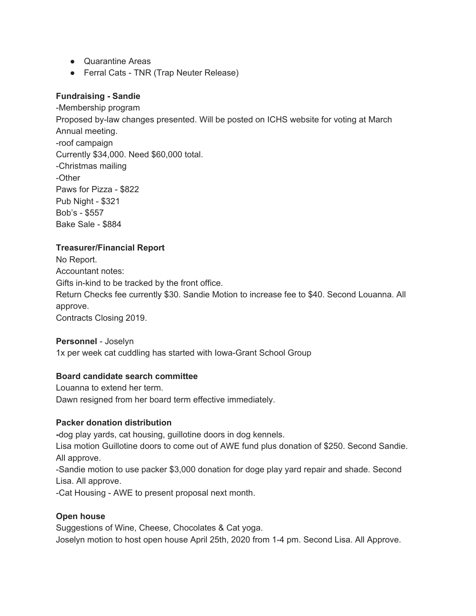- Quarantine Areas
- Ferral Cats TNR (Trap Neuter Release)

## **Fundraising - Sandie**

-Membership program Proposed by-law changes presented. Will be posted on ICHS website for voting at March Annual meeting. -roof campaign Currently \$34,000. Need \$60,000 total. -Christmas mailing -Other Paws for Pizza - \$822 Pub Night - \$321 Bob's - \$557 Bake Sale - \$884

## **Treasurer/Financial Report**

No Report. Accountant notes: Gifts in-kind to be tracked by the front office. Return Checks fee currently \$30. Sandie Motion to increase fee to \$40. Second Louanna. All approve. Contracts Closing 2019.

#### **Personnel** - Joselyn

1x per week cat cuddling has started with Iowa-Grant School Group

# **Board candidate search committee**

Louanna to extend her term. Dawn resigned from her board term effective immediately.

# **Packer donation distribution**

**-**dog play yards, cat housing, guillotine doors in dog kennels.

Lisa motion Guillotine doors to come out of AWE fund plus donation of \$250. Second Sandie. All approve.

-Sandie motion to use packer \$3,000 donation for doge play yard repair and shade. Second Lisa. All approve.

-Cat Housing - AWE to present proposal next month.

# **Open house**

Suggestions of Wine, Cheese, Chocolates & Cat yoga. Joselyn motion to host open house April 25th, 2020 from 1-4 pm. Second Lisa. All Approve.